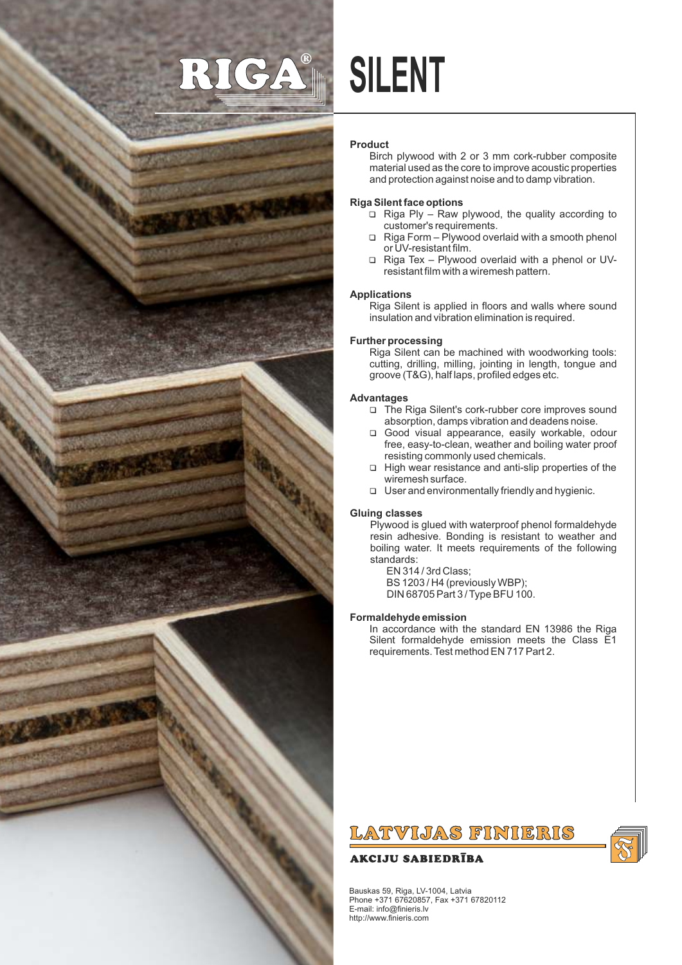

# **SILENT**

## **Product**

Birch plywood with 2 or 3 mm cork-rubber composite material used as the core to improve acoustic properties and protection against noise and to damp vibration.

## **Riga Silent face options**

- $\Box$  Riga Ply Raw plywood, the quality according to customer's requirements.
- $\Box$  Riga Form Plywood overlaid with a smooth phenol or UV-resistant film.
- 1 Riga Tex Plywood overlaid with a phenol or UVresistant film with a wiremesh pattern.

## **Applications**

Riga Silent is applied in floors and walls where sound insulation and vibration elimination is required.

## **Further processing**

Riga Silent can be machined with woodworking tools: cutting, drilling, milling, jointing in length, tongue and groove (T&G), half laps, profiled edges etc.

## **Advantages**

- □ The Riga Silent's cork-rubber core improves sound absorption, damps vibration and deadens noise.
- 1 Good visual appearance, easily workable, odour free, easy-to-clean, weather and boiling water proof resisting commonly used chemicals.
- $\Box$  High wear resistance and anti-slip properties of the wiremesh surface.
- $\Box$  User and environmentally friendly and hygienic.

## **Gluing classes**

Plywood is glued with waterproof phenol formaldehyde resin adhesive. Bonding is resistant to weather and boiling water. It meets requirements of the following standards:

EN 314 / 3rd Class; BS 1203 / H4 (previously WBP); DIN 68705 Part 3 / Type BFU 100.

## **Formaldehyde emission**

In accordance with the standard EN 13986 the Riga Silent formaldehyde emission meets the Class E1 requirements. Test method EN 717 Part 2.

# LATVIJAS FINIERIS

# **AKCIJU SABIEDRĪBA**

Bauskas 59, Riga, LV-1004, Latvia Phone +371 67620857, Fax +371 67820112 E-mail: info@finieris.lv http://www.finieris.com